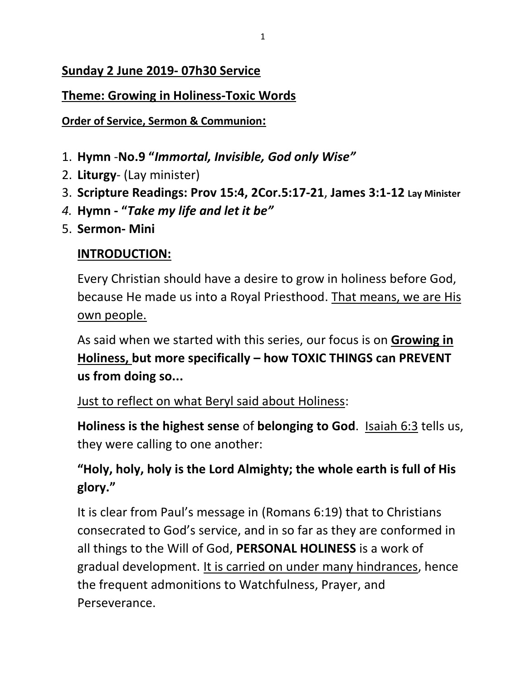#### **Sunday 2 June 2019- 07h30 Service**

#### **Theme: Growing in Holiness-Toxic Words**

**Order of Service, Sermon & Communion:**

- 1. **Hymn** -**No.9 "***Immortal, Invisible, God only Wise"*
- 2. **Liturgy** (Lay minister)
- 3. **Scripture Readings: Prov 15:4, 2Cor.5:17-21**, **James 3:1-12 Lay Minister**
- *4.* **Hymn - "***Take my life and let it be"*
- 5. **Sermon- Mini**

#### **INTRODUCTION:**

Every Christian should have a desire to grow in holiness before God, because He made us into a Royal Priesthood. That means, we are His own people.

As said when we started with this series, our focus is on **Growing in Holiness, but more specifically – how TOXIC THINGS can PREVENT us from doing so...**

#### Just to reflect on what Beryl said about Holiness:

**Holiness is the highest sense** of **belonging to God**. Isaiah 6:3 tells us, they were calling to one another:

# **"Holy, holy, holy is the Lord Almighty; the whole earth is full of His glory."**

It is clear from Paul's message in (Romans 6:19) that to Christians consecrated to God's service, and in so far as they are conformed in all things to the Will of God, **PERSONAL HOLINESS** is a work of gradual development. It is carried on under many hindrances, hence the frequent admonitions to Watchfulness, Prayer, and Perseverance.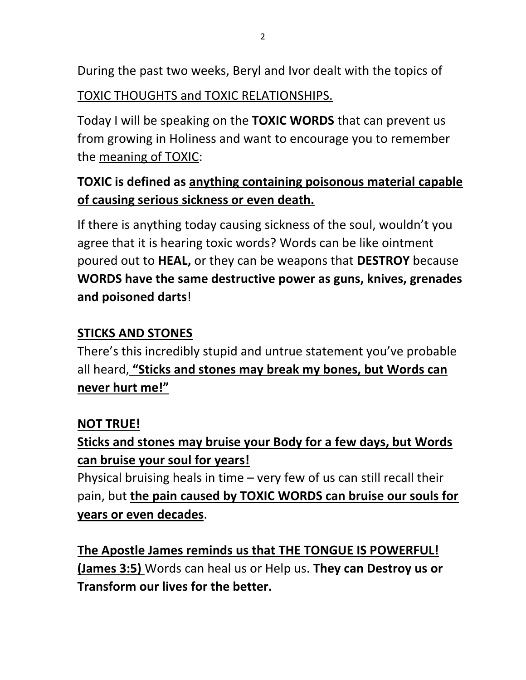During the past two weeks, Beryl and Ivor dealt with the topics of

TOXIC THOUGHTS and TOXIC RELATIONSHIPS.

Today I will be speaking on the **TOXIC WORDS** that can prevent us from growing in Holiness and want to encourage you to remember the meaning of TOXIC:

# **TOXIC is defined as anything containing poisonous material capable of causing serious sickness or even death.**

If there is anything today causing sickness of the soul, wouldn't you agree that it is hearing toxic words? Words can be like ointment poured out to **HEAL,** or they can be weapons that **DESTROY** because **WORDS have the same destructive power as guns, knives, grenades and poisoned darts**!

# **STICKS AND STONES**

There's this incredibly stupid and untrue statement you've probable all heard, **"Sticks and stones may break my bones, but Words can never hurt me!"**

# **NOT TRUE!**

**Sticks and stones may bruise your Body for a few days, but Words can bruise your soul for years!**

Physical bruising heals in time – very few of us can still recall their pain, but **the pain caused by TOXIC WORDS can bruise our souls for years or even decades**.

**The Apostle James reminds us that THE TONGUE IS POWERFUL! (James 3:5)** Words can heal us or Help us. **They can Destroy us or Transform our lives for the better.**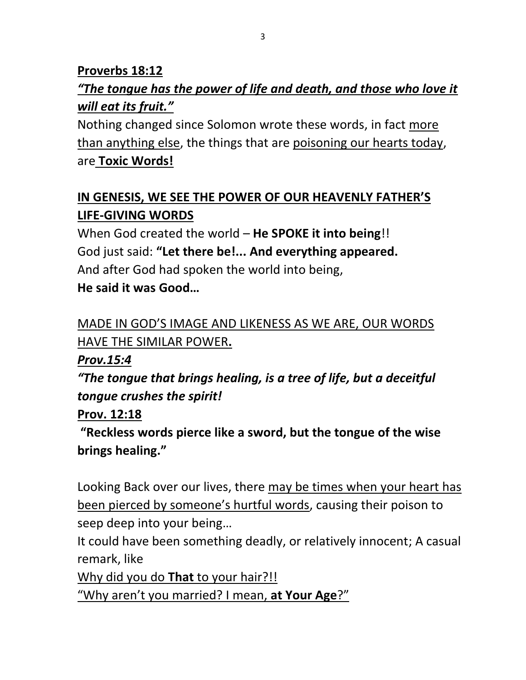# **Proverbs 18:12** *"The tongue has the power of life and death, and those who love it will eat its fruit."*

Nothing changed since Solomon wrote these words, in fact more than anything else, the things that are poisoning our hearts today, are **Toxic Words!**

# **IN GENESIS, WE SEE THE POWER OF OUR HEAVENLY FATHER'S LIFE-GIVING WORDS**

When God created the world – **He SPOKE it into being**!! God just said: **"Let there be!... And everything appeared.** And after God had spoken the world into being,

**He said it was Good…**

# MADE IN GOD'S IMAGE AND LIKENESS AS WE ARE, OUR WORDS HAVE THE SIMILAR POWER**.**

*Prov.15:4*

*"The tongue that brings healing, is a tree of life, but a deceitful tongue crushes the spirit!*

**Prov. 12:18**

**"Reckless words pierce like a sword, but the tongue of the wise brings healing."** 

Looking Back over our lives, there may be times when your heart has been pierced by someone's hurtful words, causing their poison to seep deep into your being…

It could have been something deadly, or relatively innocent; A casual remark, like

Why did you do **That** to your hair?!!

"Why aren't you married? I mean, **at Your Age**?"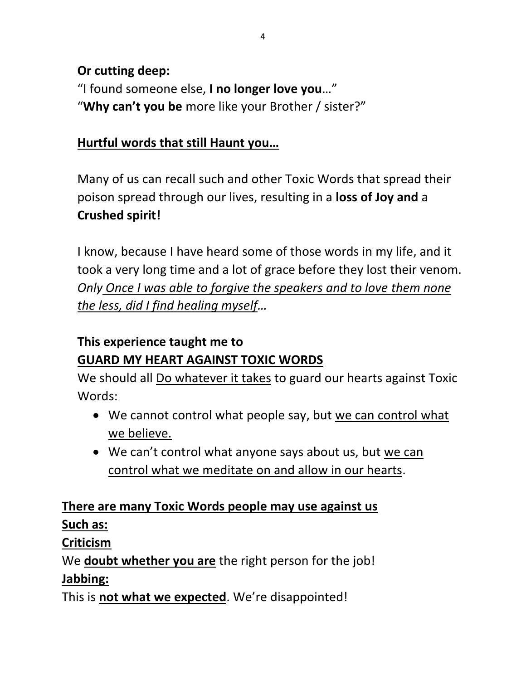### **Or cutting deep:**

"I found someone else, **I no longer love you**…" "**Why can't you be** more like your Brother / sister?"

### **Hurtful words that still Haunt you…**

Many of us can recall such and other Toxic Words that spread their poison spread through our lives, resulting in a **loss of Joy and** a **Crushed spirit!**

I know, because I have heard some of those words in my life, and it took a very long time and a lot of grace before they lost their venom. *Only Once I was able to forgive the speakers and to love them none the less, did I find healing myself…*

# **This experience taught me to GUARD MY HEART AGAINST TOXIC WORDS**

We should all Do whatever it takes to guard our hearts against Toxic Words:

- We cannot control what people say, but we can control what we believe.
- We can't control what anyone says about us, but we can control what we meditate on and allow in our hearts.

#### **There are many Toxic Words people may use against us Such as:**

**Criticism**

We **doubt whether you are** the right person for the job!

### **Jabbing:**

This is **not what we expected**. We're disappointed!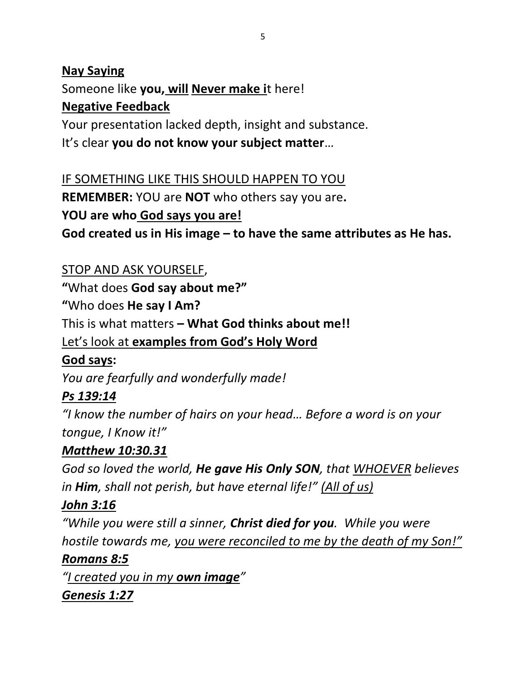### **Nay Saying** Someone like **you, will Never make i**t here! **Negative Feedback**

Your presentation lacked depth, insight and substance. It's clear **you do not know your subject matter**…

IF SOMETHING LIKE THIS SHOULD HAPPEN TO YOU **REMEMBER:** YOU are **NOT** who others say you are**. YOU are who God says you are!** 

**God created us in His image – to have the same attributes as He has.**

### STOP AND ASK YOURSELF,

**"**What does **God say about me?"**

**"**Who does **He say I Am?** 

This is what matters **– What God thinks about me!!**

Let's look at **examples from God's Holy Word**

### **God says:**

*You are fearfully and wonderfully made!*

# *Ps 139:14*

*"I know the number of hairs on your head… Before a word is on your tongue, I Know it!"* 

### *Matthew 10:30.31*

*God so loved the world, He gave His Only SON, that WHOEVER believes in Him, shall not perish, but have eternal life!" (All of us)*

# *John 3:16*

*"While you were still a sinner, Christ died for you. While you were hostile towards me, you were reconciled to me by the death of my Son!"*

### *Romans 8:5*

*"I created you in my own image" Genesis 1:27*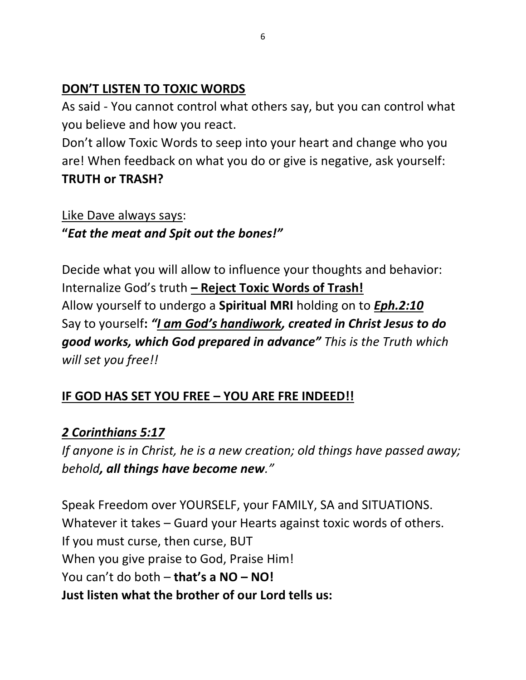#### **DON'T LISTEN TO TOXIC WORDS**

As said - You cannot control what others say, but you can control what you believe and how you react.

Don't allow Toxic Words to seep into your heart and change who you are! When feedback on what you do or give is negative, ask yourself: **TRUTH or TRASH?**

Like Dave always says: **"***Eat the meat and Spit out the bones!"*

Decide what you will allow to influence your thoughts and behavior: Internalize God's truth **– Reject Toxic Words of Trash!** Allow yourself to undergo a **Spiritual MRI** holding on to *Eph.2:10* Say to yourself**:** *"I am God's handiwork, created in Christ Jesus to do good works, which God prepared in advance" This is the Truth which will set you free!!*

# **IF GOD HAS SET YOU FREE – YOU ARE FRE INDEED!!**

### *2 Corinthians 5:17*

*If anyone is in Christ, he is a new creation; old things have passed away; behold, all things have become new."*

Speak Freedom over YOURSELF, your FAMILY, SA and SITUATIONS. Whatever it takes – Guard your Hearts against toxic words of others. If you must curse, then curse, BUT When you give praise to God, Praise Him! You can't do both – **that's a NO – NO! Just listen what the brother of our Lord tells us:**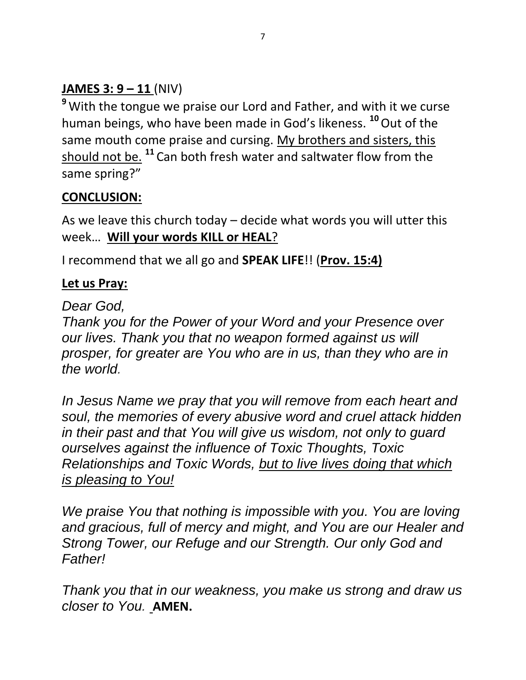# **JAMES 3: 9 – 11** (NIV)

**<sup>9</sup>** With the tongue we praise our Lord and Father, and with it we curse human beings, who have been made in God's likeness. **<sup>10</sup>**Out of the same mouth come praise and cursing. My brothers and sisters, this should not be. **<sup>11</sup>** Can both fresh water and saltwater flow from the same spring?"

# **CONCLUSION:**

As we leave this church today – decide what words you will utter this week… **Will your words KILL or HEAL**?

I recommend that we all go and **SPEAK LIFE**!! (**Prov. 15:4)** 

### **Let us Pray:**

*Dear God,*

*Thank you for the Power of your Word and your Presence over our lives. Thank you that no weapon formed against us will prosper, for greater are You who are in us, than they who are in the world.* 

*In Jesus Name we pray that you will remove from each heart and soul, the memories of every abusive word and cruel attack hidden in their past and that You will give us wisdom, not only to guard ourselves against the influence of Toxic Thoughts, Toxic Relationships and Toxic Words, but to live lives doing that which is pleasing to You!*

*We praise You that nothing is impossible with you. You are loving and gracious, full of mercy and might, and You are our Healer and Strong Tower, our Refuge and our Strength. Our only God and Father!*

*Thank you that in our weakness, you make us strong and draw us closer to You.* **AMEN.**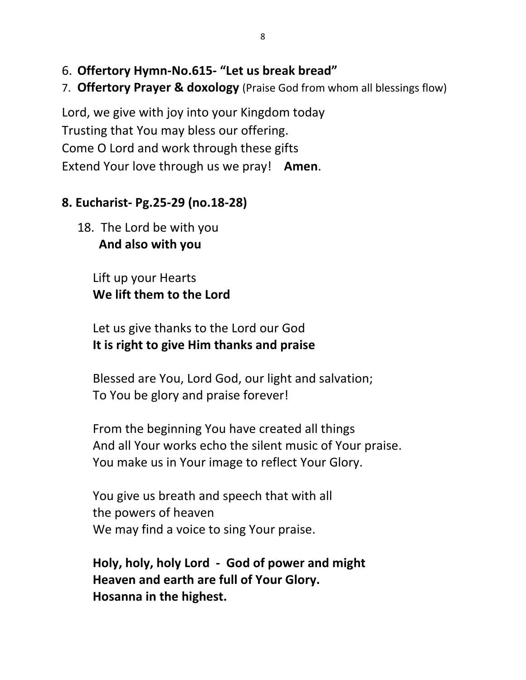- 6. **Offertory Hymn-No.615- "Let us break bread"**
- 7. **Offertory Prayer & doxology** (Praise God from whom all blessings flow)

Lord, we give with joy into your Kingdom today Trusting that You may bless our offering. Come O Lord and work through these gifts Extend Your love through us we pray! **Amen**.

#### **8. Eucharist- Pg.25-29 (no.18-28)**

18. The Lord be with you  **And also with you**

> Lift up your Hearts **We lift them to the Lord**

Let us give thanks to the Lord our God **It is right to give Him thanks and praise**

Blessed are You, Lord God, our light and salvation; To You be glory and praise forever!

From the beginning You have created all things And all Your works echo the silent music of Your praise. You make us in Your image to reflect Your Glory.

You give us breath and speech that with all the powers of heaven We may find a voice to sing Your praise.

**Holy, holy, holy Lord - God of power and might Heaven and earth are full of Your Glory. Hosanna in the highest.**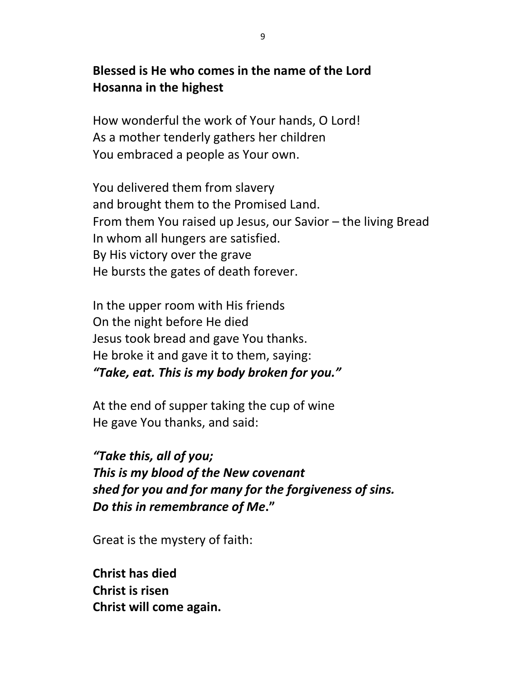#### **Blessed is He who comes in the name of the Lord Hosanna in the highest**

How wonderful the work of Your hands, O Lord! As a mother tenderly gathers her children You embraced a people as Your own.

You delivered them from slavery and brought them to the Promised Land. From them You raised up Jesus, our Savior – the living Bread In whom all hungers are satisfied. By His victory over the grave He bursts the gates of death forever.

In the upper room with His friends On the night before He died Jesus took bread and gave You thanks. He broke it and gave it to them, saying: *"Take, eat. This is my body broken for you."*

At the end of supper taking the cup of wine He gave You thanks, and said:

*"Take this, all of you; This is my blood of the New covenant shed for you and for many for the forgiveness of sins. Do this in remembrance of Me***."**

Great is the mystery of faith:

**Christ has died Christ is risen Christ will come again.**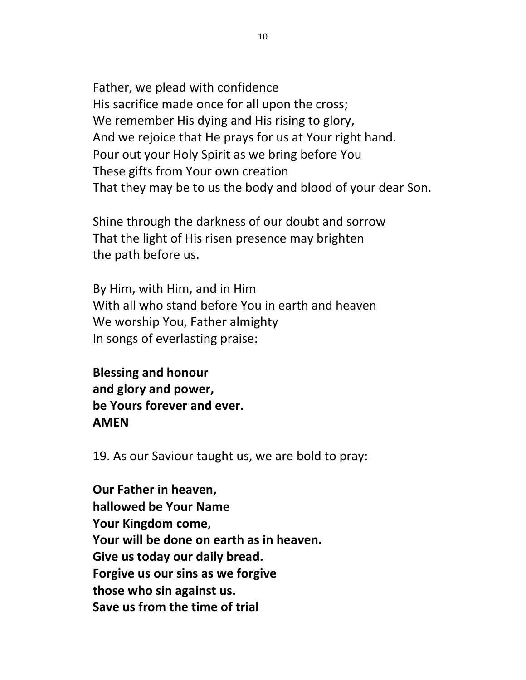Father, we plead with confidence His sacrifice made once for all upon the cross; We remember His dying and His rising to glory, And we rejoice that He prays for us at Your right hand. Pour out your Holy Spirit as we bring before You These gifts from Your own creation That they may be to us the body and blood of your dear Son.

Shine through the darkness of our doubt and sorrow That the light of His risen presence may brighten the path before us.

By Him, with Him, and in Him With all who stand before You in earth and heaven We worship You, Father almighty In songs of everlasting praise:

**Blessing and honour and glory and power, be Yours forever and ever. AMEN**

19. As our Saviour taught us, we are bold to pray:

**Our Father in heaven, hallowed be Your Name Your Kingdom come, Your will be done on earth as in heaven. Give us today our daily bread. Forgive us our sins as we forgive those who sin against us. Save us from the time of trial**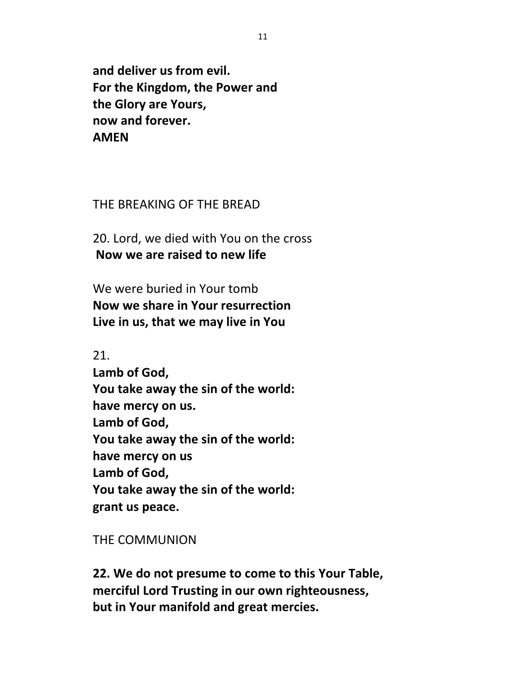**and deliver us from evil. For the Kingdom, the Power and the Glory are Yours, now and forever. AMEN**

#### THE BREAKING OF THE BREAD

20. Lord, we died with You on the cross **Now we are raised to new life**

We were buried in Your tomb **Now we share in Your resurrection Live in us, that we may live in You**

21. **Lamb of God, You take away the sin of the world: have mercy on us. Lamb of God, You take away the sin of the world: have mercy on us Lamb of God, You take away the sin of the world: grant us peace.**

#### THE COMMUNION

**22. We do not presume to come to this Your Table, merciful Lord Trusting in our own righteousness, but in Your manifold and great mercies.**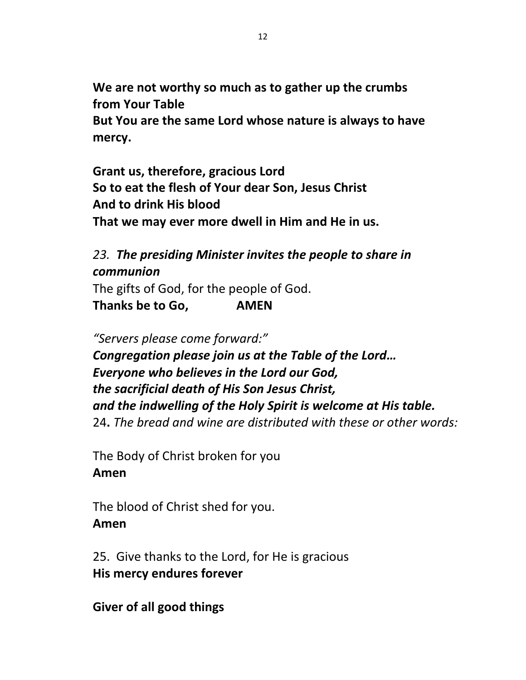**We are not worthy so much as to gather up the crumbs from Your Table But You are the same Lord whose nature is always to have mercy.**

**Grant us, therefore, gracious Lord So to eat the flesh of Your dear Son, Jesus Christ And to drink His blood That we may ever more dwell in Him and He in us.**

#### *23. The presiding Minister invites the people to share in communion*

The gifts of God, for the people of God. **Thanks be to Go, AMEN**

*"Servers please come forward:" Congregation please join us at the Table of the Lord… Everyone who believes in the Lord our God, the sacrificial death of His Son Jesus Christ, and the indwelling of the Holy Spirit is welcome at His table.* 24**.** *The bread and wine are distributed with these or other words:*

The Body of Christ broken for you **Amen**

The blood of Christ shed for you. **Amen**

25. Give thanks to the Lord, for He is gracious **His mercy endures forever**

**Giver of all good things**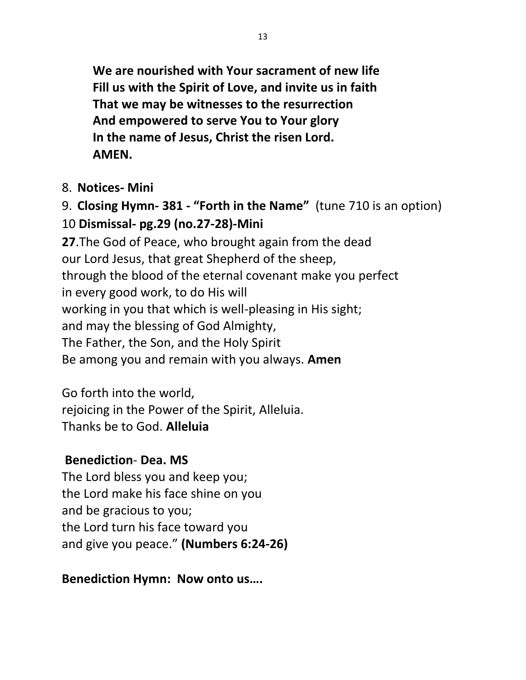**We are nourished with Your sacrament of new life Fill us with the Spirit of Love, and invite us in faith That we may be witnesses to the resurrection And empowered to serve You to Your glory In the name of Jesus, Christ the risen Lord. AMEN.**

#### 8. **Notices- Mini**

9. **Closing Hymn- 381 - "Forth in the Name"** (tune 710 is an option) 10 **Dismissal- pg.29 (no.27-28)-Mini**

**27**.The God of Peace, who brought again from the dead our Lord Jesus, that great Shepherd of the sheep, through the blood of the eternal covenant make you perfect in every good work, to do His will working in you that which is well-pleasing in His sight; and may the blessing of God Almighty, The Father, the Son, and the Holy Spirit Be among you and remain with you always. **Amen**

Go forth into the world, rejoicing in the Power of the Spirit, Alleluia. Thanks be to God. **Alleluia**

### **Benediction**- **Dea. MS**

The Lord bless you and keep you; the Lord make his face shine on you and be gracious to you; the Lord turn his face toward you and give you peace." **(Numbers 6:24-26)**

### **Benediction Hymn: Now onto us….**